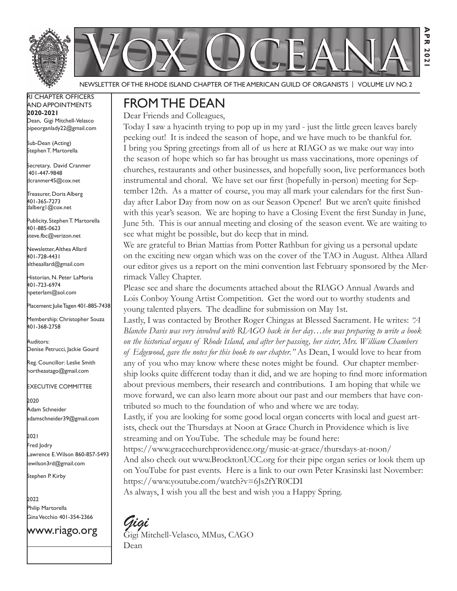

Newsletter of the Rhode Island Chapter of the American Guild of OrganistS | Volume LIV No. 2

RI Chapter Officers and Appointments **2020-2021** Dean, Gigi Mitchell-Velasco pipeorganlady22@gmail.com

Sub-Dean (Acting) Stephen T. Martorella

Secretary, David Cranmer 401-447-9848 dcranmer45@cox.net

Treasurer, Doris Alberg 401-365-7273 dalberg1@cox.net

I

Publicity, Stephen T. Martorella 401-885-0623 steve.fbc@verizon.net

Newsletter, Althea Allard 401-728-4431 altheaallard@gmail.com

Historian, N. Peter LaMoria 401-723-6974 npeterlam@aol.com

Placement: Julie Tagen 401-885-7438

Membership: Christopher Souza 401-368-2758

Auditors: Denise Petrucci, Jackie Gourd

Reg. Councillor: Leslie Smith northeastago@gmail.com

Executive Committee

2020 Adam Schneider adamschneider39@gmail.com

2021 Fred Jodry Lawrence E. Wilson 860-857-5493 lewilson3rd@gmail.com

Stephen P. Kirby

2022 Philip Martorella Gina Vecchio 401-354-2366

www.riago.org

### FROMTHE DEAN

Dear Friends and Colleagues,

Today I saw a hyacinth trying to pop up in my yard - just the little green leaves barely peeking out! It is indeed the season of hope, and we have much to be thankful for. I bring you Spring greetings from all of us here at RIAGO as we make our way into the season of hope which so far has brought us mass vaccinations, more openings of churches, restaurants and other businesses, and hopefully soon, live performances both instrumental and choral. We have set our first (hopefully in-person) meeting for September 12th. As a matter of course, you may all mark your calendars for the first Sunday after Labor Day from now on as our Season Opener! But we aren't quite finished with this year's season. We are hoping to have a Closing Event the first Sunday in June, June 5th. This is our annual meeting and closing of the season event. We are waiting to see what might be possible, but do keep that in mind.

We are grateful to Brian Mattias from Potter Rathbun for giving us a personal update on the exciting new organ which was on the cover of the TAO in August. Althea Allard our editor gives us a report on the mini convention last February sponsored by the Merrimack Valley Chapter.

Please see and share the documents attached about the RIAGO Annual Awards and Lois Conboy Young Artist Competition. Get the word out to worthy students and young talented players. The deadline for submission on May 1st.

Lastly, I was contacted by Brother Roger Chingas at Blessed Sacrament. He writes: *"A Blanche Davis was very involved with RIAGO back in her day…she was preparing to write a book on the historical organs of Rhode Island, and after her passing, her sister, Mrs. William Chambers of Edgewood, gave the notes for this book to our chapter."* As Dean, I would love to hear from any of you who may know where these notes might be found. Our chapter membership looks quite different today than it did, and we are hoping to find more information about previous members, their research and contributions. I am hoping that while we move forward, we can also learn more about our past and our members that have contributed so much to the foundation of who and where we are today.

Lastly, if you are looking for some good local organ concerts with local and guest artists, check out the Thursdays at Noon at Grace Church in Providence which is live streaming and on YouTube. The schedule may be found here:

https://www.gracechurchprovidence.org/music-at-grace/thursdays-at-noon/ And also check out www.BrocktonUCC.org for their pipe organ series or look them up on YouTube for past events. Here is a link to our own Peter Krasinski last November: https://www.youtube.com/watch?v=6Js2fYR0CDI

As always, I wish you all the best and wish you a Happy Spring.

*Gigi* Gigi Mitchell-Velasco, MMus, CAGO Dean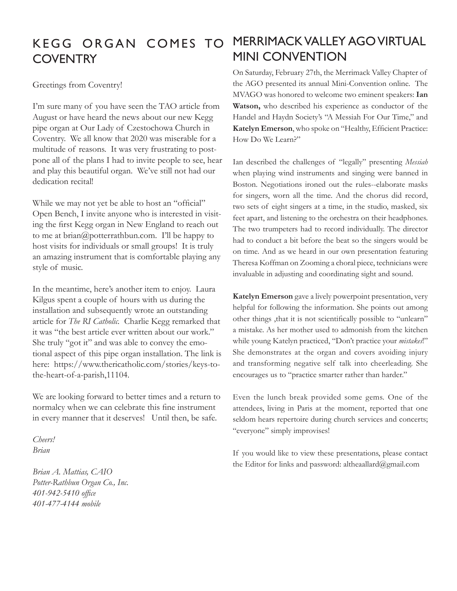# KEGG ORGAN COMES TO **COVENTRY**

Greetings from Coventry!

I'm sure many of you have seen the TAO article from August or have heard the news about our new Kegg pipe organ at Our Lady of Czestochowa Church in Coventry. We all know that 2020 was miserable for a multitude of reasons. It was very frustrating to postpone all of the plans I had to invite people to see, hear and play this beautiful organ. We've still not had our dedication recital!

While we may not yet be able to host an "official" Open Bench, I invite anyone who is interested in visiting the first Kegg organ in New England to reach out to me at brian@potterrathbun.com. I'll be happy to host visits for individuals or small groups! It is truly an amazing instrument that is comfortable playing any style of music.

In the meantime, here's another item to enjoy. Laura Kilgus spent a couple of hours with us during the installation and subsequently wrote an outstanding article for *The RI Catholic.* Charlie Kegg remarked that it was "the best article ever written about our work." She truly "got it" and was able to convey the emotional aspect of this pipe organ installation. The link is here: https://www.thericatholic.com/stories/keys-tothe-heart-of-a-parish,11104.

We are looking forward to better times and a return to normalcy when we can celebrate this fine instrument in every manner that it deserves! Until then, be safe.

*Cheers! Brian*

*Brian A. Mattias, CAIO Potter-Rathbun Organ Co., Inc. 401-942-5410 office 401-477-4144 mobile*

# Merrimackvalley ago Virtual mini convention

On Saturday, February 27th, the Merrimack Valley Chapter of the AGO presented its annual Mini-Convention online. The MVAGO was honored to welcome two eminent speakers: **Ian Watson,** who described his experience as conductor of the Handel and Haydn Society's "A Messiah For Our Time," and **Katelyn Emerson**, who spoke on "Healthy, Efficient Practice: How Do We Learn?"

Ian described the challenges of "legally" presenting *Messiah* when playing wind instruments and singing were banned in Boston. Negotiations ironed out the rules--elaborate masks for singers, worn all the time. And the chorus did record, two sets of eight singers at a time, in the studio, masked, six feet apart, and listening to the orchestra on their headphones. The two trumpeters had to record individually. The director had to conduct a bit before the beat so the singers would be on time. And as we heard in our own presentation featuring Theresa Koffman on Zooming a choral piece, technicians were invaluable in adjusting and coordinating sight and sound.

**Katelyn Emerson** gave a lively powerpoint presentation, very helpful for following the information. She points out among other things ,that it is not scientifically possible to "unlearn" a mistake. As her mother used to admonish from the kitchen while young Katelyn practiced, "Don't practice your *mistakes*!" She demonstrates at the organ and covers avoiding injury and transforming negative self talk into cheerleading. She encourages us to "practice smarter rather than harder."

Even the lunch break provided some gems. One of the attendees, living in Paris at the moment, reported that one seldom hears repertoire during church services and concerts; "everyone" simply improvises!

If you would like to view these presentations, please contact the Editor for links and password: altheaallard@gmail.com